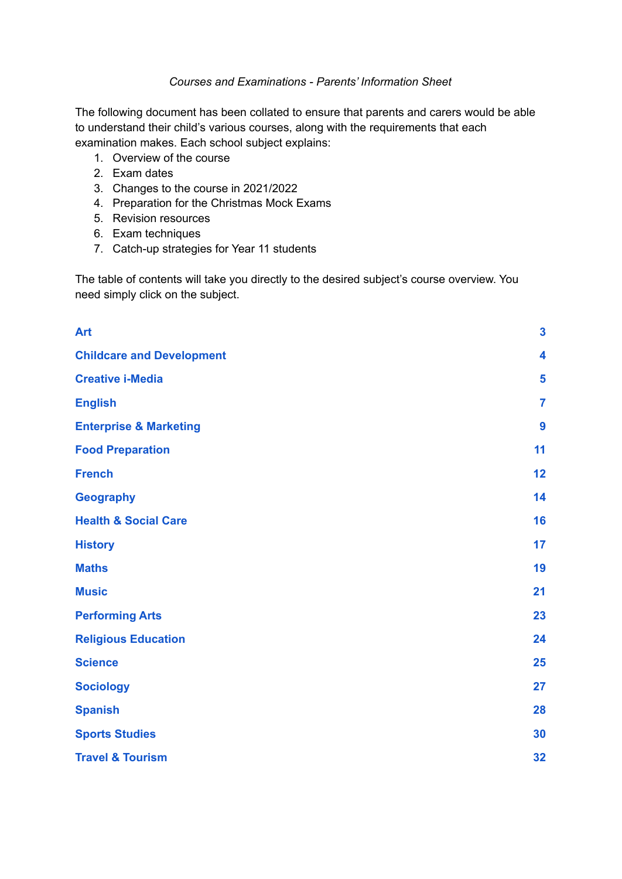### *Courses and Examinations - Parents' Information Sheet*

The following document has been collated to ensure that parents and carers would be able to understand their child's various courses, along with the requirements that each examination makes. Each school subject explains:

- 1. Overview of the course
- 2. Exam dates
- 3. Changes to the course in 2021/2022
- 4. Preparation for the Christmas Mock Exams
- 5. Revision resources
- 6. Exam techniques
- 7. Catch-up strategies for Year 11 students

The table of contents will take you directly to the desired subject's course overview. You need simply click on the subject.

| <b>Art</b>                        | $\mathbf{3}$   |
|-----------------------------------|----------------|
| <b>Childcare and Development</b>  | 4              |
| <b>Creative i-Media</b>           | 5              |
| <b>English</b>                    | $\overline{7}$ |
| <b>Enterprise &amp; Marketing</b> | 9              |
| <b>Food Preparation</b>           | 11             |
| <b>French</b>                     | 12             |
| <b>Geography</b>                  | 14             |
| <b>Health &amp; Social Care</b>   | 16             |
| <b>History</b>                    | 17             |
| <b>Maths</b>                      | 19             |
| <b>Music</b>                      | 21             |
| <b>Performing Arts</b>            | 23             |
| <b>Religious Education</b>        | 24             |
| <b>Science</b>                    | 25             |
| <b>Sociology</b>                  | 27             |
| <b>Spanish</b>                    | 28             |
| <b>Sports Studies</b>             | 30             |
| <b>Travel &amp; Tourism</b>       | 32             |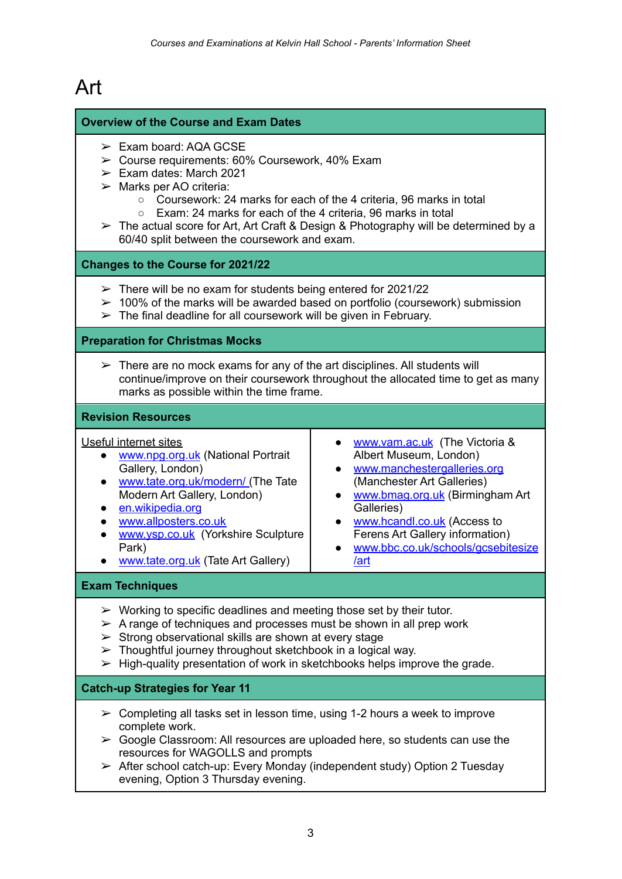# <span id="page-2-0"></span>Art

## **Overview of the Course and Exam Dates**

- $\triangleright$  Fxam board: AQA GCSF
- ➢ Course requirements: 60% Coursework, 40% Exam
- $\triangleright$  Exam dates: March 2021
- $\triangleright$  Marks per AO criteria:
	- Coursework: 24 marks for each of the 4 criteria, 96 marks in total
	- Exam: 24 marks for each of the 4 criteria, 96 marks in total
- $\triangleright$  The actual score for Art, Art Craft & Design & Photography will be determined by a 60/40 split between the coursework and exam.

### **Changes to the Course for 2021/22**

- $\geq$  There will be no exam for students being entered for 2021/22
- $\geq 100\%$  of the marks will be awarded based on portfolio (coursework) submission
- $\triangleright$  The final deadline for all coursework will be given in February.

# **Preparation for Christmas Mocks**

 $\triangleright$  There are no mock exams for any of the art disciplines. All students will continue/improve on their coursework throughout the allocated time to get as many marks as possible within the time frame.

### **Revision Resources**

### Useful internet sites

- [www.npg.org.uk](http://www.npg.org.uk/live/index.asp) (National Portrait Gallery, London)
- [www.tate.org.uk/modern/](http://www.tate.org.uk/modern/) (The Tate Modern Art Gallery, London)
- [en.wikipedia.org](http://en.wikipedia.org/)
- [www.allposters.co.uk](http://www.allposters.co.uk/)
- [www.ysp.co.uk](http://www.ysp.co.uk/) (Yorkshire Sculpture Park)
- [www.tate.org.uk](http://www.tate.org.uk) (Tate Art Gallery)
- [www.vam.ac.uk](http://www.vam.ac.uk) (The Victoria & Albert Museum, London)
- [www.manchestergalleries.org](http://www.manchestergalleries.org) (Manchester Art Galleries)
- [www.bmag.org.uk](http://www.bmag.org.uk) (Birmingham Art Galleries)
- [www.hcandl.co.uk](https://www.hcandl.co.uk/museums-and-galleries/ferens/ferens-art-gallery) (Access to Ferens Art Gallery information)
- [www.bbc.co.uk/schools/gcsebitesize](http://www.bbc.co.uk/schools/gcsebitesize/art) [/art](http://www.bbc.co.uk/schools/gcsebitesize/art)

### **Exam Techniques**

- $\triangleright$  Working to specific deadlines and meeting those set by their tutor.
- $\geq$  A range of techniques and processes must be shown in all prep work
- $\triangleright$  Strong observational skills are shown at every stage
- $\triangleright$  Thoughtful journey throughout sketchbook in a logical way.
- $\triangleright$  High-quality presentation of work in sketchbooks helps improve the grade.

- $\geq$  Completing all tasks set in lesson time, using 1-2 hours a week to improve complete work.
- $\geq$  Google Classroom: All resources are uploaded here, so students can use the resources for WAGOLLS and prompts
- $\triangleright$  After school catch-up: Every Monday (independent study) Option 2 Tuesday evening, Option 3 Thursday evening.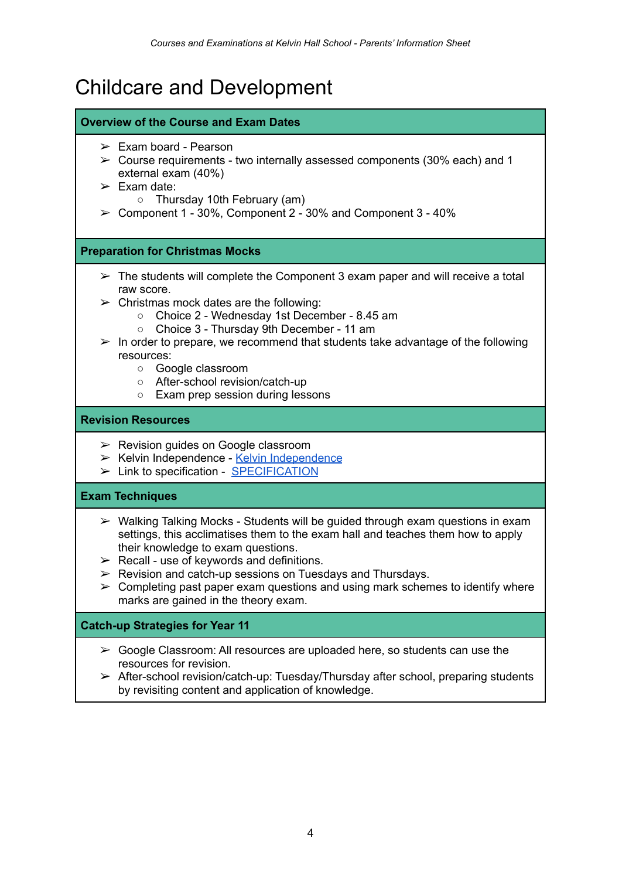# <span id="page-3-0"></span>Childcare and Development

# **Overview of the Course and Exam Dates**

- $\triangleright$  Fxam board Pearson
- $\geq$  Course requirements two internally assessed components (30% each) and 1 external exam (40%)
- $\triangleright$  Exam date:
	- Thursday 10th February (am)
- $\geq$  Component 1 30%. Component 2 30% and Component 3 40%

# **Preparation for Christmas Mocks**

- $\triangleright$  The students will complete the Component 3 exam paper and will receive a total raw score.
- $\triangleright$  Christmas mock dates are the following:
	- Choice 2 Wednesday 1st December 8.45 am
	- Choice 3 Thursday 9th December 11 am
- $\geq$  In order to prepare, we recommend that students take advantage of the following resources:
	- Google classroom
	- After-school revision/catch-up
	- Exam prep session during lessons

# **Revision Resources**

- ➢ Revision guides on Google classroom
- ► Kelvin [Independence](https://sites.google.com/kelvinhall.net/kelvinindependence/subjects/choices/childcare) Kelvin Independence
- ➢ Link to specification [SPECIFICATION](https://qualifications.pearson.com/content/dam/pdf/btec-tec-awards/child-development/2017/specification-and-sample-assessments/SPEC-TA-Child-Development.pdf)

# **Exam Techniques**

- $\triangleright$  Walking Talking Mocks Students will be quided through exam questions in exam settings, this acclimatises them to the exam hall and teaches them how to apply their knowledge to exam questions.
- $\triangleright$  Recall use of keywords and definitions.
- $\triangleright$  Revision and catch-up sessions on Tuesdays and Thursdays.
- $\geq$  Completing past paper exam questions and using mark schemes to identify where marks are gained in the theory exam.

- $\triangleright$  Google Classroom: All resources are uploaded here, so students can use the resources for revision.
- $\triangleright$  After-school revision/catch-up: Tuesday/Thursday after school, preparing students by revisiting content and application of knowledge.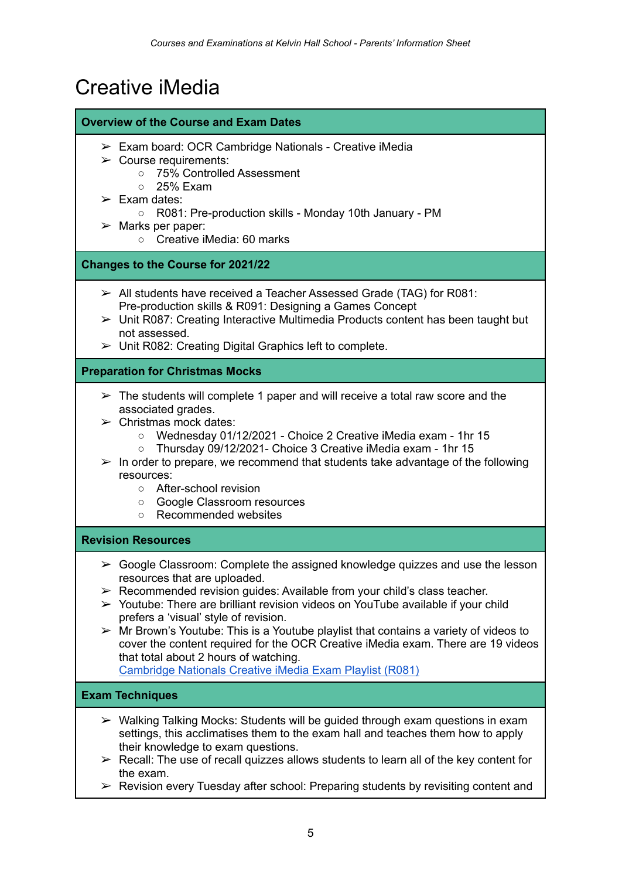# <span id="page-4-0"></span>Creative iMedia

# **Overview of the Course and Exam Dates**

- $\triangleright$  Exam board: OCR Cambridge Nationals Creative iMedia
- $\triangleright$  Course requirements:
	- 75% Controlled Assessment
	- 25% Exam
- $\triangleright$  Exam dates:
	- R081: Pre-production skills Monday 10th January PM
- $\triangleright$  Marks per paper:
	- Creative iMedia: 60 marks

# **Changes to the Course for 2021/22**

- ➢ All students have received a Teacher Assessed Grade (TAG) for R081: Pre-production skills & R091: Designing a Games Concept
- $\triangleright$  Unit R087: Creating Interactive Multimedia Products content has been taught but not assessed.
- $\triangleright$  Unit R082: Creating Digital Graphics left to complete.

# **Preparation for Christmas Mocks**

- $\geq$  The students will complete 1 paper and will receive a total raw score and the associated grades.
- $\triangleright$  Christmas mock dates:
	- Wednesday 01/12/2021 Choice 2 Creative iMedia exam 1hr 15
	- Thursday 09/12/2021- Choice 3 Creative iMedia exam 1hr 15
- $\triangleright$  In order to prepare, we recommend that students take advantage of the following resources:
	- After-school revision
	- Google Classroom resources
	- Recommended websites

### **Revision Resources**

- $\triangleright$  Google Classroom: Complete the assigned knowledge quizzes and use the lesson resources that are uploaded.
- $\triangleright$  Recommended revision guides: Available from your child's class teacher.
- $\geq$  Youtube: There are brilliant revision videos on YouTube available if your child prefers a 'visual' style of revision.
- $\triangleright$  Mr Brown's Youtube: This is a Youtube playlist that contains a variety of videos to cover the content required for the OCR Creative iMedia exam. There are 19 videos that total about 2 hours of watching.

[Cambridge](https://www.youtube.com/playlist?list=PL04uZ7242_M6Ft4t0IUOzhjjvNXIiOqXe) Nationals Creative iMedia Exam Playlist (R081)

- $\triangleright$  Walking Talking Mocks: Students will be quided through exam questions in exam settings, this acclimatises them to the exam hall and teaches them how to apply their knowledge to exam questions.
- $\triangleright$  Recall: The use of recall quizzes allows students to learn all of the key content for the exam.
- $\triangleright$  Revision every Tuesday after school: Preparing students by revisiting content and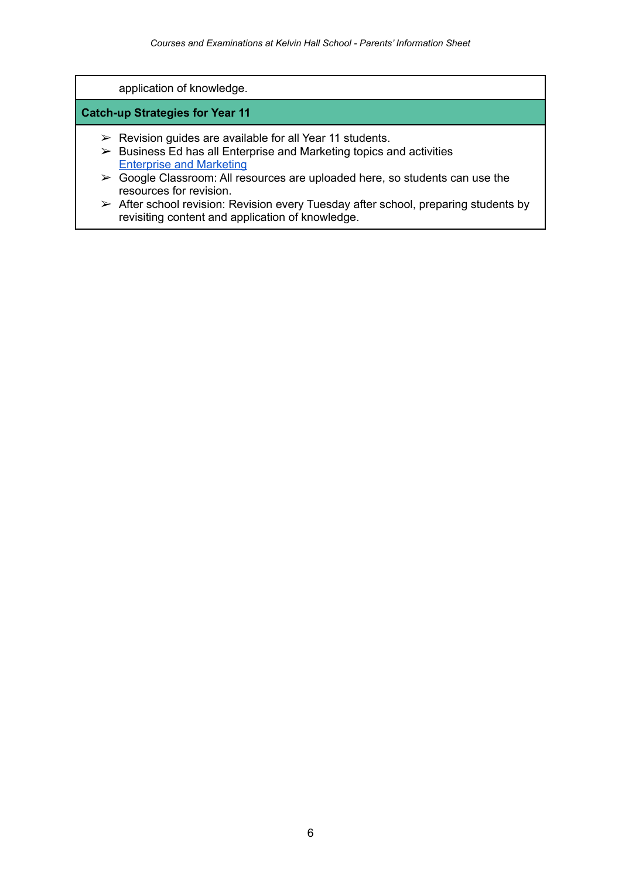### application of knowledge.

- $\triangleright$  Revision guides are available for all Year 11 students.
- $\triangleright$  Business Ed has all Enterprise and Marketing topics and activities [Enterprise](https://www.businessed.co.uk/index.php/home/theory/camnat-public/camnat-theory-notes-public#r064-enterprise-and-marketing-concepts) and Marketing
- $\triangleright$  Google Classroom: All resources are uploaded here, so students can use the resources for revision.
- ➢ After school revision: Revision every Tuesday after school, preparing students by revisiting content and application of knowledge.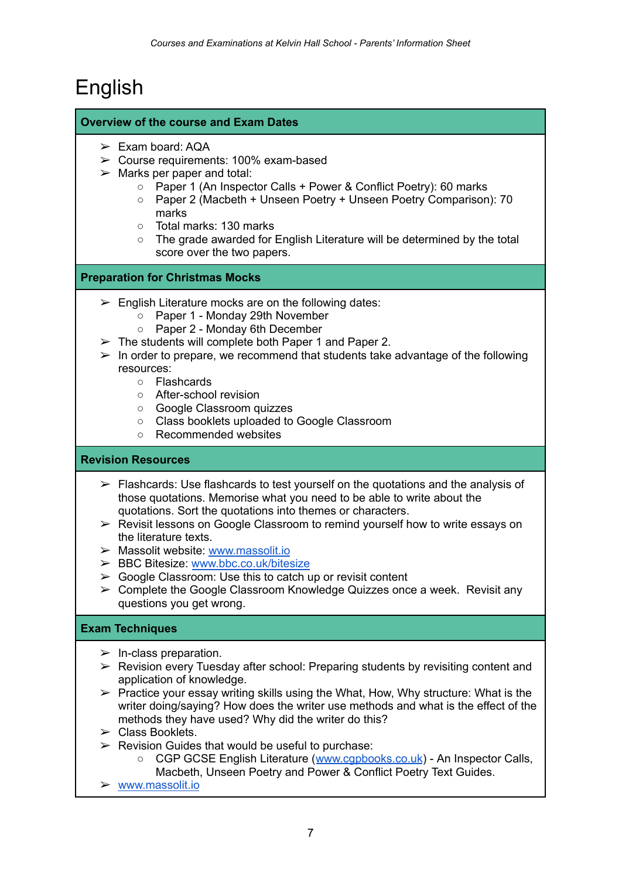# <span id="page-6-0"></span>English

## **Overview of the course and Exam Dates**

- $\triangleright$  Fxam board: AQA
- ➢ Course requirements: 100% exam-based
- $\triangleright$  Marks per paper and total:
	- Paper 1 (An Inspector Calls + Power & Conflict Poetry): 60 marks
	- Paper 2 (Macbeth + Unseen Poetry + Unseen Poetry Comparison): 70 marks
	- Total marks: 130 marks
	- The grade awarded for English Literature will be determined by the total score over the two papers.

# **Preparation for Christmas Mocks**

- $\triangleright$  English Literature mocks are on the following dates:
	- Paper 1 Monday 29th November
	- Paper 2 Monday 6th December
- $\geq$  The students will complete both Paper 1 and Paper 2.
- $\triangleright$  In order to prepare, we recommend that students take advantage of the following resources:
	- Flashcards
	- After-school revision
	- Google Classroom quizzes
	- Class booklets uploaded to Google Classroom
	- Recommended websites

### **Revision Resources**

- $\triangleright$  Flashcards: Use flashcards to test yourself on the quotations and the analysis of those quotations. Memorise what you need to be able to write about the quotations. Sort the quotations into themes or characters.
- $\triangleright$  Revisit lessons on Google Classroom to remind yourself how to write essays on the literature texts.
- ➢ Massolit website: [www.massolit.io](http://www.massolit.io)
- ➢ BBC Bitesize: [www.bbc.co.uk/bitesize](http://www.bbc.co.uk/bitesize)
- $\triangleright$  Google Classroom: Use this to catch up or revisit content
- $\geq$  Complete the Google Classroom Knowledge Quizzes once a week. Revisit any questions you get wrong.

- $\triangleright$  In-class preparation.
- $\triangleright$  Revision every Tuesday after school: Preparing students by revisiting content and application of knowledge.
- $\triangleright$  Practice your essay writing skills using the What, How, Why structure: What is the writer doing/saying? How does the writer use methods and what is the effect of the methods they have used? Why did the writer do this?
- $\triangleright$  Class Booklets.
- $\triangleright$  Revision Guides that would be useful to purchase:
	- CGP GCSE English Literature ([www.cgpbooks.co.uk](http://www.cgpbooks.co.uk)) An Inspector Calls, Macbeth, Unseen Poetry and Power & Conflict Poetry Text Guides.
- ➢ [www.massolit.io](http://www.massolit.io)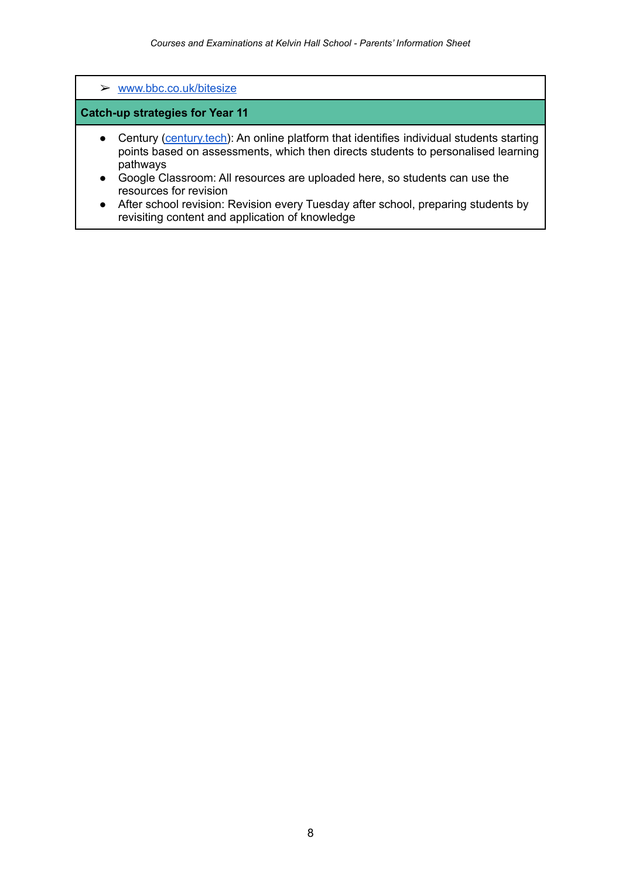## ➢ [www.bbc.co.uk/bitesize](http://www.bbc.co.uk/bitesize)

- Century [\(century.tech\)](https://www.century.tech/): An online platform that identifies individual students starting points based on assessments, which then directs students to personalised learning pathways
- Google Classroom: All resources are uploaded here, so students can use the resources for revision
- After school revision: Revision every Tuesday after school, preparing students by revisiting content and application of knowledge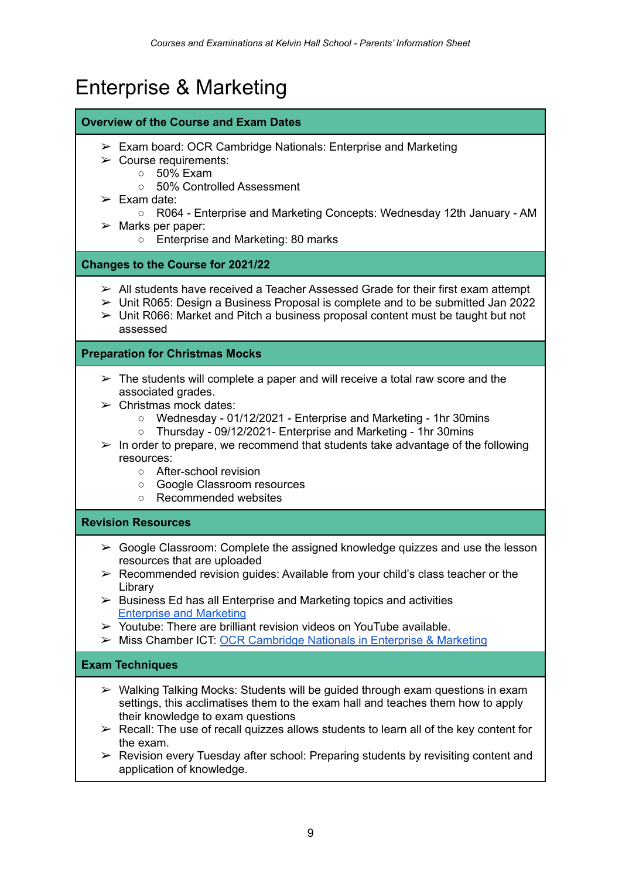# <span id="page-8-0"></span>Enterprise & Marketing

# **Overview of the Course and Exam Dates**

- $\triangleright$  Exam board: OCR Cambridge Nationals: Enterprise and Marketing
- $\triangleright$  Course requirements:
	- 50% Exam
	- 50% Controlled Assessment
- $\geq$  Exam date:
	- R064 Enterprise and Marketing Concepts: Wednesday 12th January AM
- $\triangleright$  Marks per paper:
	- Enterprise and Marketing: 80 marks

# **Changes to the Course for 2021/22**

- $\triangleright$  All students have received a Teacher Assessed Grade for their first exam attempt
- $\triangleright$  Unit R065: Design a Business Proposal is complete and to be submitted Jan 2022
- $\triangleright$  Unit R066: Market and Pitch a business proposal content must be taught but not assessed

# **Preparation for Christmas Mocks**

- $\geq$  The students will complete a paper and will receive a total raw score and the associated grades.
- $\triangleright$  Christmas mock dates:
	- Wednesday 01/12/2021 Enterprise and Marketing 1hr 30mins
	- Thursday 09/12/2021- Enterprise and Marketing 1hr 30mins
- $\triangleright$  In order to prepare, we recommend that students take advantage of the following resources:
	- After-school revision
	- Google Classroom resources
	- Recommended websites

## **Revision Resources**

- $\triangleright$  Google Classroom: Complete the assigned knowledge quizzes and use the lesson resources that are uploaded
- $\triangleright$  Recommended revision guides: Available from your child's class teacher or the Library
- $\triangleright$  Business Ed has all Enterprise and Marketing topics and activities [Enterprise](https://www.businessed.co.uk/index.php/home/theory/camnat-public/camnat-theory-notes-public#r064-enterprise-and-marketing-concepts) and Marketing
- $\geq$  Youtube: There are brilliant revision videos on YouTube available.
- ➢ Miss Chamber ICT: OCR [Cambridge](https://www.youtube.com/playlist?list=PL27vaenVnLtYSNf-RKwKzCJtLV3O3CiOP) Nationals in Enterprise & Marketing

- ➢ Walking Talking Mocks: Students will be guided through exam questions in exam settings, this acclimatises them to the exam hall and teaches them how to apply their knowledge to exam questions
- $\triangleright$  Recall: The use of recall quizzes allows students to learn all of the key content for the exam.
- $\triangleright$  Revision every Tuesday after school: Preparing students by revisiting content and application of knowledge.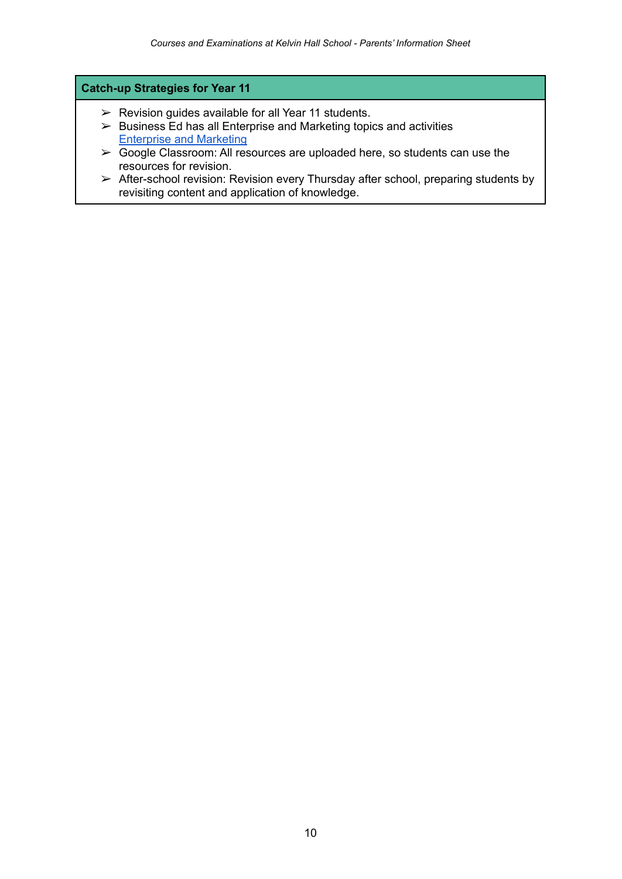- $\triangleright$  Revision guides available for all Year 11 students.
- $\triangleright$  Business Ed has all Enterprise and Marketing topics and activities [Enterprise](https://www.businessed.co.uk/index.php/home/theory/camnat-public/camnat-theory-notes-public#r064-enterprise-and-marketing-concepts) and Marketing
- $\triangleright$  Google Classroom: All resources are uploaded here, so students can use the resources for revision.
- ➢ After-school revision: Revision every Thursday after school, preparing students by revisiting content and application of knowledge.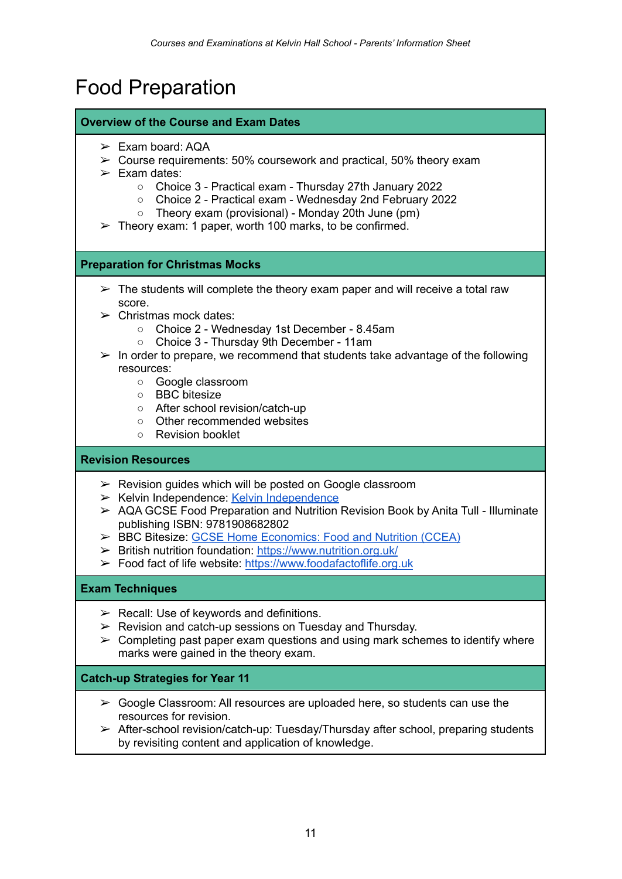# <span id="page-10-0"></span>Food Preparation

# **Overview of the Course and Exam Dates**

- $\triangleright$  Fxam board: AQA
- $\geq$  Course requirements: 50% coursework and practical, 50% theory exam
- $\triangleright$  Exam dates:
	- Choice 3 Practical exam Thursday 27th January 2022
	- Choice 2 Practical exam Wednesday 2nd February 2022
	- Theory exam (provisional) Monday 20th June (pm)
- $\geq$  Theory exam: 1 paper, worth 100 marks, to be confirmed.

# **Preparation for Christmas Mocks**

- $\triangleright$  The students will complete the theory exam paper and will receive a total raw score.
- $\triangleright$  Christmas mock dates:
	- Choice 2 Wednesday 1st December 8.45am
	- Choice 3 Thursday 9th December 11am
- $\triangleright$  In order to prepare, we recommend that students take advantage of the following resources:
	- Google classroom
	- BBC bitesize
	- After school revision/catch-up
	- Other recommended websites
	- Revision booklet

### **Revision Resources**

- $\triangleright$  Revision guides which will be posted on Google classroom
- $\triangleright$  Kelvin [Independence](https://sites.google.com/kelvinhall.net/kelvinindependence/subjects/choices/food-preparation-nutrition): Kelvin Independence
- ➢ AQA GCSE Food Preparation and Nutrition Revision Book by Anita Tull Illuminate publishing ISBN: 9781908682802
- ➢ BBC Bitesize: GCSE Home [Economics:](https://www.bbc.co.uk/bitesize/subjects/zdn9jhv) Food and Nutrition (CCEA)
- ➢ British nutrition foundation: <https://www.nutrition.org.uk/>
- ➢ Food fact of life website: [https://www.foodafactoflife.org.uk](https://www.foodafactoflife.org.uk/)

# **Exam Techniques**

- $\triangleright$  Recall: Use of keywords and definitions.
- $\triangleright$  Revision and catch-up sessions on Tuesday and Thursday.
- $\geq$  Completing past paper exam questions and using mark schemes to identify where marks were gained in the theory exam.

- $\geq$  Google Classroom: All resources are uploaded here, so students can use the resources for revision.
- $\triangleright$  After-school revision/catch-up: Tuesday/Thursday after school, preparing students by revisiting content and application of knowledge.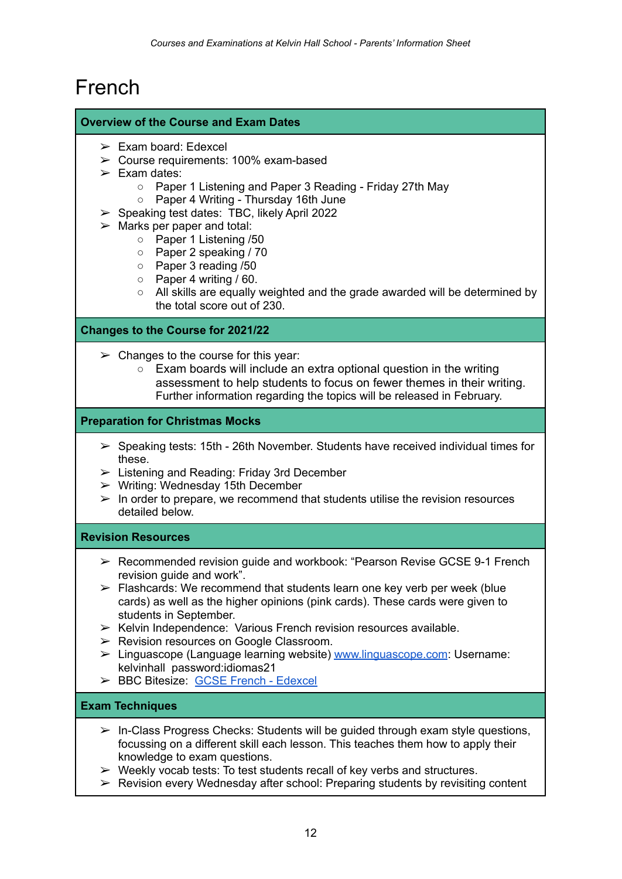# <span id="page-11-0"></span>French

### **Overview of the Course and Exam Dates**

- ➢ Exam board: Edexcel
- $\geq$  Course requirements: 100% exam-based
- $\triangleright$  Exam dates:
	- Paper 1 Listening and Paper 3 Reading Friday 27th May
- Paper 4 Writing Thursday 16th June
- $\geq$  Speaking test dates: TBC, likely April 2022
- $\triangleright$  Marks per paper and total:
	- Paper 1 Listening /50
	- Paper 2 speaking / 70
	- Paper 3 reading /50
	- Paper 4 writing / 60.
	- All skills are equally weighted and the grade awarded will be determined by the total score out of 230.

### **Changes to the Course for 2021/22**

- $\triangleright$  Changes to the course for this year:
	- $\circ$  Exam boards will include an extra optional question in the writing assessment to help students to focus on fewer themes in their writing. Further information regarding the topics will be released in February.

### **Preparation for Christmas Mocks**

- $\triangleright$  Speaking tests: 15th 26th November. Students have received individual times for these.
- ➢ Listening and Reading: Friday 3rd December
- $\triangleright$  Writing: Wednesday 15th December
- $\triangleright$  In order to prepare, we recommend that students utilise the revision resources detailed below.

### **Revision Resources**

- ➢ Recommended revision guide and workbook: "Pearson Revise GCSE 9-1 French revision guide and work".
- $\triangleright$  Flashcards: We recommend that students learn one key verb per week (blue cards) as well as the higher opinions (pink cards). These cards were given to students in September.
- ➢ Kelvin Independence: Various French revision resources available.
- ➢ Revision resources on Google Classroom.
- ➢ Linguascope (Language learning website) [www.linguascope.com](http://www.linguascope.com): Username: kelvinhall password:idiomas21
- ➢ BBC Bitesize: GCSE French [Edexcel](https://www.bbc.co.uk/bitesize/examspecs/zhy647h)

- $\triangleright$  In-Class Progress Checks: Students will be guided through exam style questions, focussing on a different skill each lesson. This teaches them how to apply their knowledge to exam questions.
- $\triangleright$  Weekly vocab tests: To test students recall of key verbs and structures.
- $\triangleright$  Revision every Wednesday after school: Preparing students by revisiting content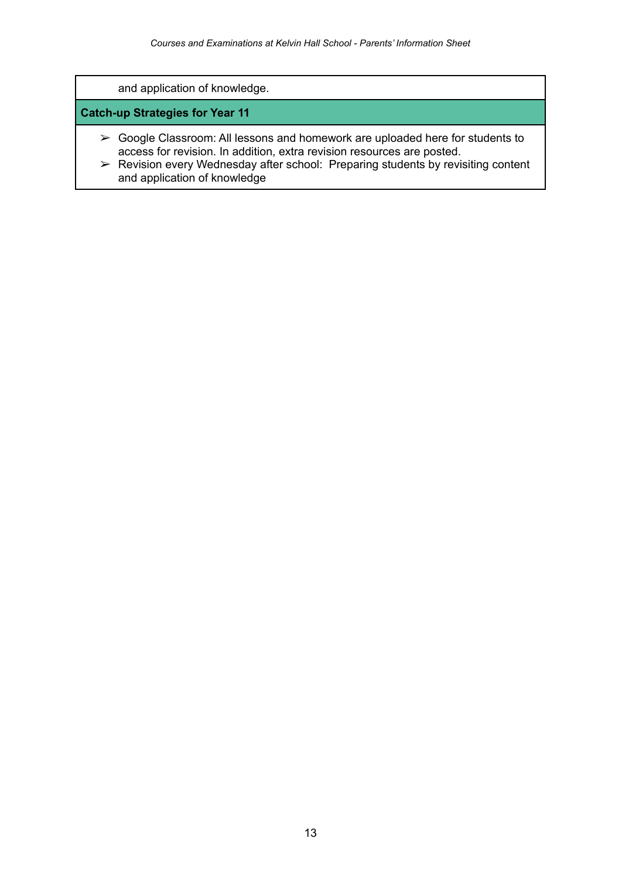### and application of knowledge.

- ➢ Google Classroom: All lessons and homework are uploaded here for students to access for revision. In addition, extra revision resources are posted.
- ➢ Revision every Wednesday after school: Preparing students by revisiting content and application of knowledge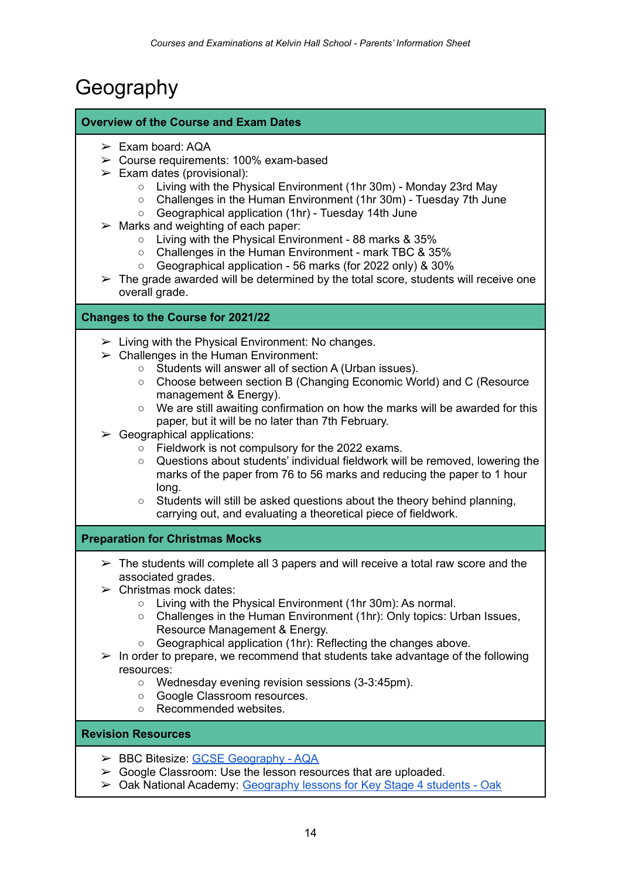# <span id="page-13-0"></span>Geography

# **Overview of the Course and Exam Dates**

- ➢ Exam board: AQA
- ➢ Course requirements: 100% exam-based
- $\triangleright$  Exam dates (provisional):
	- Living with the Physical Environment (1hr 30m) Monday 23rd May
	- Challenges in the Human Environment (1hr 30m) Tuesday 7th June
	- Geographical application (1hr) Tuesday 14th June
- $\triangleright$  Marks and weighting of each paper:
	- Living with the Physical Environment 88 marks & 35%
	- Challenges in the Human Environment mark TBC & 35%
	- Geographical application 56 marks (for 2022 only) & 30%
- $\triangleright$  The grade awarded will be determined by the total score, students will receive one overall grade.

### **Changes to the Course for 2021/22**

- $\geq$  Living with the Physical Environment: No changes.
- $\triangleright$  Challenges in the Human Environment:
	- Students will answer all of section A (Urban issues).
	- Choose between section B (Changing Economic World) and C (Resource management & Energy).
	- We are still awaiting confirmation on how the marks will be awarded for this paper, but it will be no later than 7th February.
- $\triangleright$  Geographical applications:
	- Fieldwork is not compulsory for the 2022 exams.
	- Questions about students' individual fieldwork will be removed, lowering the marks of the paper from 76 to 56 marks and reducing the paper to 1 hour long.
	- $\circ$  Students will still be asked questions about the theory behind planning, carrying out, and evaluating a theoretical piece of fieldwork.

# **Preparation for Christmas Mocks**

- $\geq$  The students will complete all 3 papers and will receive a total raw score and the associated grades.
- $\geq$  Christmas mock dates:
	- Living with the Physical Environment (1hr 30m): As normal.
	- Challenges in the Human Environment (1hr): Only topics: Urban Issues, Resource Management & Energy.
	- Geographical application (1hr): Reflecting the changes above.
- $\triangleright$  In order to prepare, we recommend that students take advantage of the following resources:
	- Wednesday evening revision sessions (3-3:45pm).
	- Google Classroom resources.
	- Recommended websites.

### **Revision Resources**

- ➢ BBC Bitesize: GCSE [Geography](https://www.bbc.co.uk/bitesize/examspecs/zy3ptyc) AQA
- $\geq$  Google Classroom: Use the lesson resources that are uploaded.
- ➢ Oak National Academy: [Geography](https://classroom.thenational.academy/subjects-by-key-stage/key-stage-4/subjects/geography) lessons for Key Stage 4 students Oak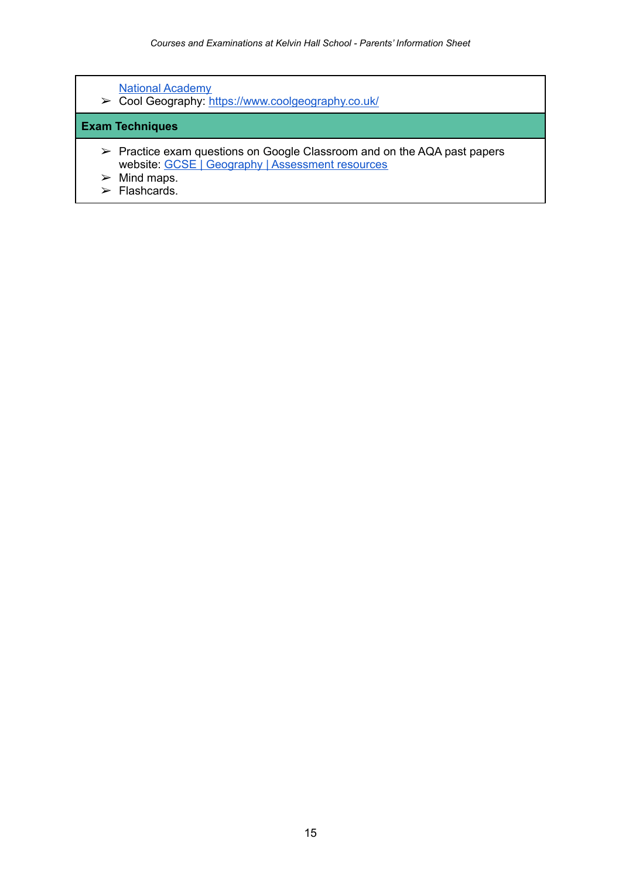**National [Academy](https://classroom.thenational.academy/subjects-by-key-stage/key-stage-4/subjects/geography)** 

➢ Cool Geography: <https://www.coolgeography.co.uk/>

### **Exam Techniques**

➢ Practice exam questions on Google Classroom and on the AQA past papers website: <u>GCSE | Geography | [Assessment](https://www.aqa.org.uk/subjects/geography/gcse/geography-8035/assessment-resources) resources</u>

 $\triangleright$  Mind maps.

 $\triangleright$  Flashcards.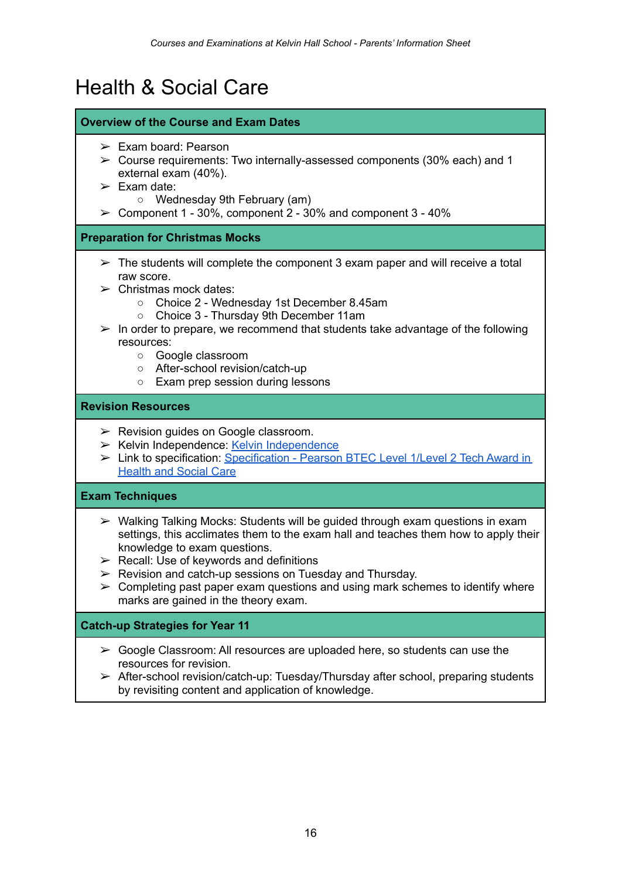# <span id="page-15-0"></span>Health & Social Care

# **Overview of the Course and Exam Dates**

- ➢ Exam board: Pearson
- $\geq$  Course requirements: Two internally-assessed components (30% each) and 1 external exam (40%).
- $\triangleright$  Exam date:
	- Wednesday 9th February (am)
- $\geq$  Component 1 30%, component 2 30% and component 3 40%

# **Preparation for Christmas Mocks**

- $\triangleright$  The students will complete the component 3 exam paper and will receive a total raw score.
- $\triangleright$  Christmas mock dates:
	- Choice 2 Wednesday 1st December 8.45am
	- Choice 3 Thursday 9th December 11am
- $\geq$  In order to prepare, we recommend that students take advantage of the following resources:
	- Google classroom
	- After-school revision/catch-up
	- Exam prep session during lessons

### **Revision Resources**

- ➢ Revision guides on Google classroom.
- ➢ Kelvin Independence: Kelvin [Independence](https://sites.google.com/kelvinhall.net/kelvinindependence/subjects/choices/health-social-care)
- ➢ Link to specification: [Specification](https://qualifications.pearson.com/content/dam/pdf/btec-tec-awards/health-and-social-care/2017/specification-and-sample-assessments/tech-award-HSC-spec.pdf) Pearson BTEC Level 1/Level 2 Tech Award in [Health](https://qualifications.pearson.com/content/dam/pdf/btec-tec-awards/health-and-social-care/2017/specification-and-sample-assessments/tech-award-HSC-spec.pdf) and Social Care

### **Exam Techniques**

- $\triangleright$  Walking Talking Mocks: Students will be guided through exam questions in exam settings, this acclimates them to the exam hall and teaches them how to apply their knowledge to exam questions.
- $\triangleright$  Recall: Use of keywords and definitions
- $\triangleright$  Revision and catch-up sessions on Tuesday and Thursday.
- $\geq$  Completing past paper exam questions and using mark schemes to identify where marks are gained in the theory exam.

- $\triangleright$  Google Classroom: All resources are uploaded here, so students can use the resources for revision.
- $\triangleright$  After-school revision/catch-up: Tuesday/Thursday after school, preparing students by revisiting content and application of knowledge.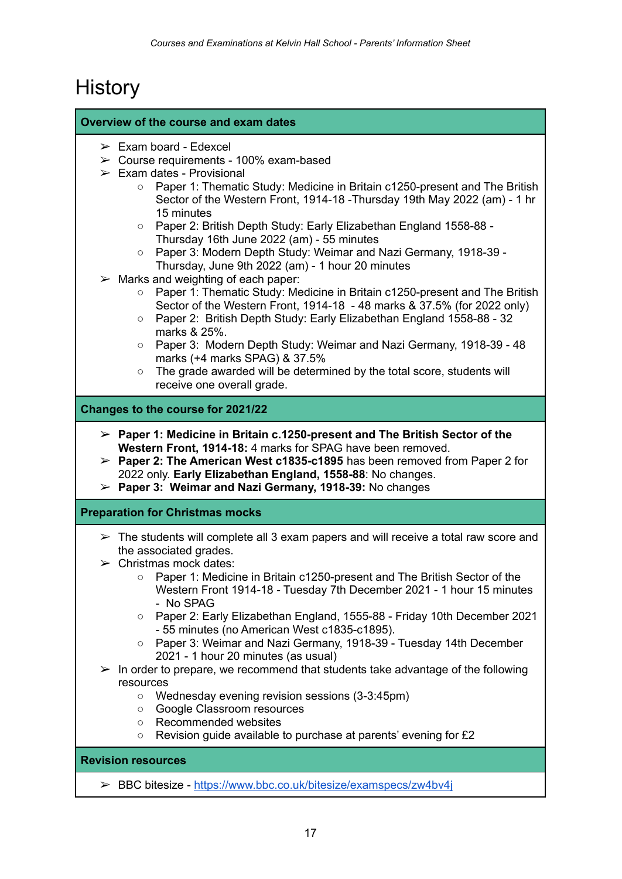# <span id="page-16-0"></span>**History**

### **Overview of the course and exam dates**

- $\triangleright$  Fxam board Edexcel
- $\geq$  Course requirements 100% exam-based
- $\triangleright$  Exam dates Provisional
	- Paper 1: Thematic Study: Medicine in Britain c1250-present and The British Sector of the Western Front, 1914-18 -Thursday 19th May 2022 (am) - 1 hr 15 minutes
	- Paper 2: British Depth Study: Early Elizabethan England 1558-88 Thursday 16th June 2022 (am) - 55 minutes
	- Paper 3: Modern Depth Study: Weimar and Nazi Germany, 1918-39 Thursday, June 9th 2022 (am) - 1 hour 20 minutes
- $\triangleright$  Marks and weighting of each paper:
	- Paper 1: Thematic Study: Medicine in Britain c1250-present and The British Sector of the Western Front, 1914-18 - 48 marks & 37.5% (for 2022 only)
	- Paper 2: British Depth Study: Early Elizabethan England 1558-88 32 marks & 25%.
	- Paper 3: Modern Depth Study: Weimar and Nazi Germany, 1918-39 48 marks (+4 marks SPAG) & 37.5%
	- The grade awarded will be determined by the total score, students will receive one overall grade.

### **Changes to the course for 2021/22**

- ➢ **Paper 1: Medicine in Britain c.1250-present and The British Sector of the Western Front, 1914-18:** 4 marks for SPAG have been removed.
- ➢ **Paper 2: The American West c1835-c1895** has been removed from Paper 2 for 2022 only. **Early Elizabethan England, 1558-88**: No changes.
- ➢ **Paper 3: Weimar and Nazi Germany, 1918-39:** No changes

### **Preparation for Christmas mocks**

- $\triangleright$  The students will complete all 3 exam papers and will receive a total raw score and the associated grades.
- $\geq$  Christmas mock dates:
	- Paper 1: Medicine in Britain c1250-present and The British Sector of the Western Front 1914-18 - Tuesday 7th December 2021 - 1 hour 15 minutes - No SPAG
	- Paper 2: Early Elizabethan England, 1555-88 Friday 10th December 2021 - 55 minutes (no American West c1835-c1895).
	- Paper 3: Weimar and Nazi Germany, 1918-39 Tuesday 14th December 2021 - 1 hour 20 minutes (as usual)
- $\geq$  In order to prepare, we recommend that students take advantage of the following resources
	- Wednesday evening revision sessions (3-3:45pm)
	- Google Classroom resources
	- Recommended websites
	- Revision guide available to purchase at parents' evening for £2

### **Revision resources**

➢ BBC bitesize - <https://www.bbc.co.uk/bitesize/examspecs/zw4bv4j>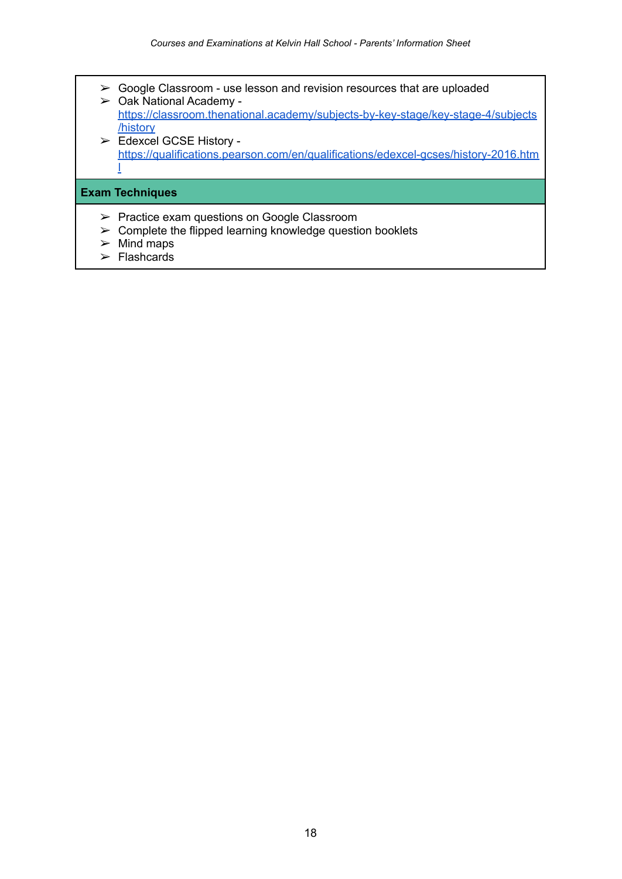- $\geq$  Google Classroom use lesson and revision resources that are uploaded
- $\triangleright$  Oak National Academy [https://classroom.thenational.academy/subjects-by-key-stage/key-stage-4/subjects](https://classroom.thenational.academy/subjects-by-key-stage/key-stage-4/subjects/history) [/history](https://classroom.thenational.academy/subjects-by-key-stage/key-stage-4/subjects/history)
- ➢ Edexcel GCSE History [https://qualifications.pearson.com/en/qualifications/edexcel-gcses/history-2016.htm](https://qualifications.pearson.com/en/qualifications/edexcel-gcses/history-2016.html) [l](https://qualifications.pearson.com/en/qualifications/edexcel-gcses/history-2016.html)

- ➢ Practice exam questions on Google Classroom
- $\triangleright$  Complete the flipped learning knowledge question booklets
- $\triangleright$  Mind maps
- $>$  Flashcards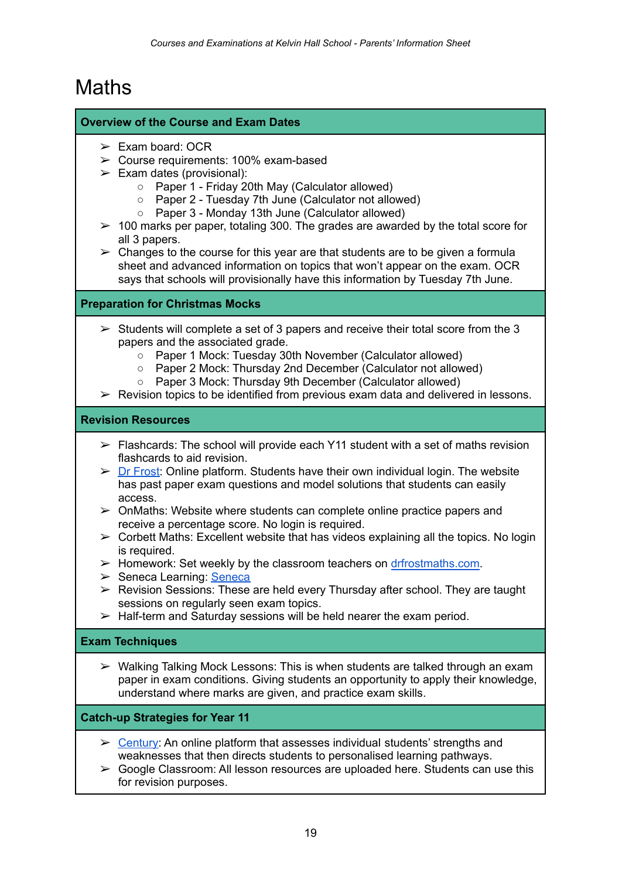# <span id="page-18-0"></span>**Maths**

## **Overview of the Course and Exam Dates**

- $\triangleright$  Fxam board: OCR
- ➢ Course requirements: 100% exam-based
- $\triangleright$  Exam dates (provisional):
	- Paper 1 Friday 20th May (Calculator allowed)
	- Paper 2 Tuesday 7th June (Calculator not allowed)
	- Paper 3 Monday 13th June (Calculator allowed)
- $\geq$  100 marks per paper, totaling 300. The grades are awarded by the total score for all 3 papers.
- $\triangleright$  Changes to the course for this year are that students are to be given a formula sheet and advanced information on topics that won't appear on the exam. OCR says that schools will provisionally have this information by Tuesday 7th June.

# **Preparation for Christmas Mocks**

- $\geq$  Students will complete a set of 3 papers and receive their total score from the 3 papers and the associated grade.
	- Paper 1 Mock: Tuesday 30th November (Calculator allowed)
	- Paper 2 Mock: Thursday 2nd December (Calculator not allowed)
	- Paper 3 Mock: Thursday 9th December (Calculator allowed)
- $\triangleright$  Revision topics to be identified from previous exam data and delivered in lessons.

# **Revision Resources**

- $\triangleright$  Flashcards: The school will provide each Y11 student with a set of maths revision flashcards to aid revision.
- $\triangleright$  Dr [Frost:](https://www.drfrostmaths.com/) Online platform. Students have their own individual login. The website has past paper exam questions and model solutions that students can easily access.
- $\triangleright$  OnMaths: Website where students can complete online practice papers and receive a percentage score. No login is required.
- $\triangleright$  Corbett Maths: Excellent website that has videos explaining all the topics. No login is required.
- $\triangleright$  Homework: Set weekly by the classroom teachers on [drfrostmaths.com.](https://www.drfrostmaths.com/)
- ➢ Seneca Learning: [Seneca](https://senecalearning.com/en-GB/)
- $\triangleright$  Revision Sessions: These are held every Thursday after school. They are taught sessions on regularly seen exam topics.
- $\triangleright$  Half-term and Saturday sessions will be held nearer the exam period.

# **Exam Techniques**

 $\triangleright$  Walking Talking Mock Lessons: This is when students are talked through an exam paper in exam conditions. Giving students an opportunity to apply their knowledge, understand where marks are given, and practice exam skills.

- $\triangleright$  [Century:](https://www.century.tech/) An online platform that assesses individual students' strengths and weaknesses that then directs students to personalised learning pathways.
- $\triangleright$  Google Classroom: All lesson resources are uploaded here. Students can use this for revision purposes.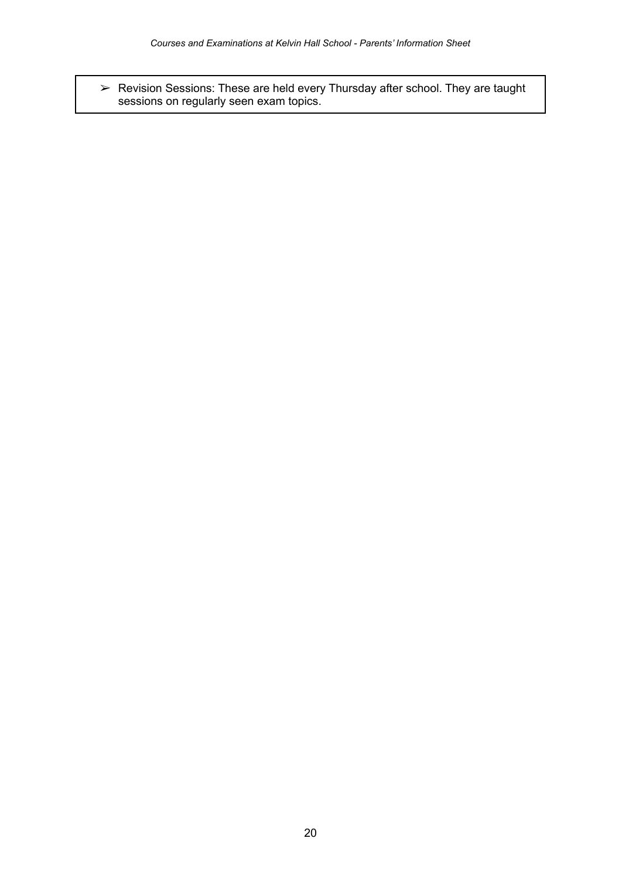➢ Revision Sessions: These are held every Thursday after school. They are taught sessions on regularly seen exam topics.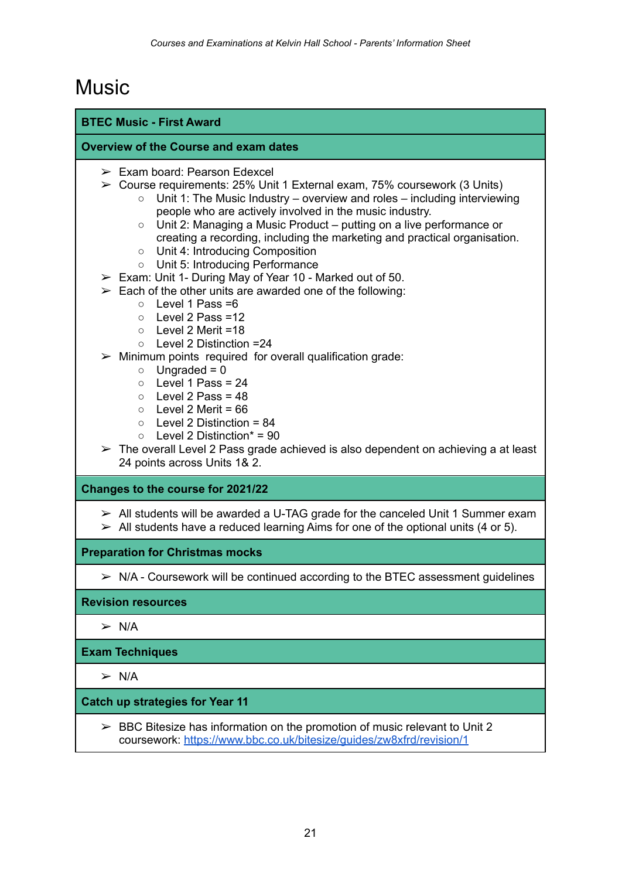# <span id="page-20-0"></span>Music

# **BTEC Music - First Award**

## **Overview of the Course and exam dates**

- ➢ Exam board: Pearson Edexcel
- $\geq$  Course requirements: 25% Unit 1 External exam, 75% coursework (3 Units)
	- Unit 1: The Music Industry overview and roles including interviewing people who are actively involved in the music industry.
	- Unit 2: Managing a Music Product putting on a live performance or creating a recording, including the marketing and practical organisation.
	- Unit 4: Introducing Composition
	- Unit 5: Introducing Performance
- $\geq$  Exam: Unit 1- During May of Year 10 Marked out of 50.
- $\triangleright$  Each of the other units are awarded one of the following:
	- $\circ$  Level 1 Pass = 6
	- $\circ$  Level 2 Pass =12
	- Level 2 Merit =18
	- Level 2 Distinction =24
- $\triangleright$  Minimum points required for overall qualification grade:
	- $\circ$  Ungraded = 0
	- $\circ$  Level 1 Pass = 24
	- $\circ$  Level 2 Pass = 48
	- $\circ$  Level 2 Merit = 66
	- Level 2 Distinction = 84
	- $\circ$  Level 2 Distinction\* = 90
- $\triangleright$  The overall Level 2 Pass grade achieved is also dependent on achieving a at least 24 points across Units 1& 2.

# **Changes to the course for 2021/22**

- $\triangleright$  All students will be awarded a U-TAG grade for the canceled Unit 1 Summer exam
- $\triangleright$  All students have a reduced learning Aims for one of the optional units (4 or 5).

# **Preparation for Christmas mocks**

 $\triangleright$  N/A - Coursework will be continued according to the BTEC assessment quidelines

### **Revision resources**

 $> N/A$ 

### **Exam Techniques**

 $\triangleright$  N/A

# **Catch up strategies for Year 11**

 $\triangleright$  BBC Bitesize has information on the promotion of music relevant to Unit 2 coursework: <https://www.bbc.co.uk/bitesize/guides/zw8xfrd/revision/1>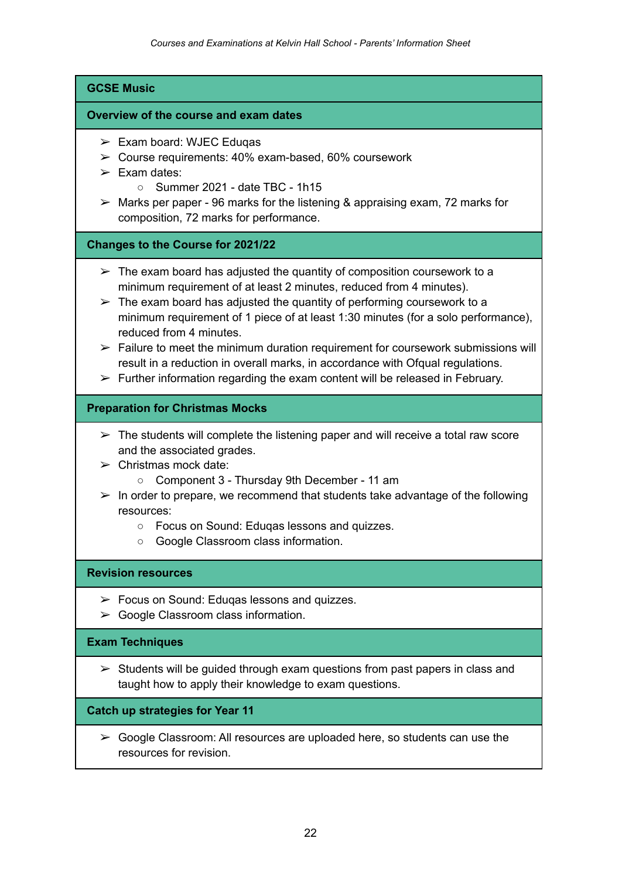## **GCSE Music**

### **Overview of the course and exam dates**

- $\triangleright$  Exam board: WJEC Eduqas
- $\geq$  Course requirements: 40% exam-based, 60% coursework
- $\triangleright$  Exam dates:
	- Summer 2021 date TBC 1h15
- $\triangleright$  Marks per paper 96 marks for the listening & appraising exam, 72 marks for composition, 72 marks for performance.

### **Changes to the Course for 2021/22**

- $\geq$  The exam board has adjusted the quantity of composition coursework to a minimum requirement of at least 2 minutes, reduced from 4 minutes).
- $\triangleright$  The exam board has adjusted the quantity of performing coursework to a minimum requirement of 1 piece of at least 1:30 minutes (for a solo performance), reduced from 4 minutes.
- $\triangleright$  Failure to meet the minimum duration requirement for coursework submissions will result in a reduction in overall marks, in accordance with Ofqual regulations.
- $\triangleright$  Further information regarding the exam content will be released in February.

### **Preparation for Christmas Mocks**

- $\triangleright$  The students will complete the listening paper and will receive a total raw score and the associated grades.
- $\triangleright$  Christmas mock date:
	- Component 3 Thursday 9th December 11 am
- $\triangleright$  In order to prepare, we recommend that students take advantage of the following resources:
	- Focus on Sound: Eduqas lessons and quizzes.
	- Google Classroom class information.

#### **Revision resources**

- $\geq$  Focus on Sound: Eduqas lessons and quizzes.
- $\triangleright$  Google Classroom class information.

### **Exam Techniques**

 $\geq$  Students will be guided through exam questions from past papers in class and taught how to apply their knowledge to exam questions.

### **Catch up strategies for Year 11**

 $\triangleright$  Google Classroom: All resources are uploaded here, so students can use the resources for revision.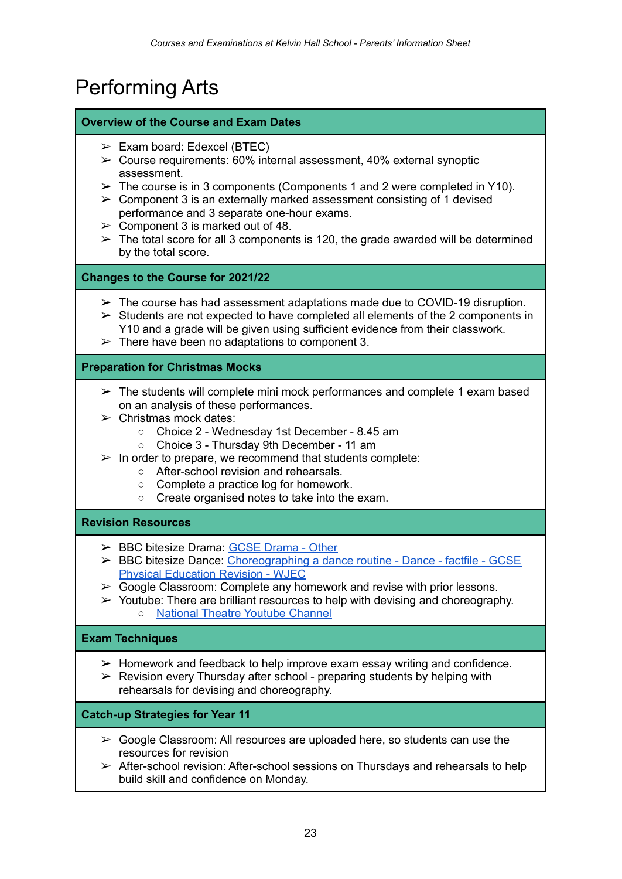# <span id="page-22-0"></span>Performing Arts

# **Overview of the Course and Exam Dates**

- $\triangleright$  Exam board: Edexcel (BTEC)
- $\geq$  Course requirements: 60% internal assessment, 40% external synoptic assessment.
- $\triangleright$  The course is in 3 components (Components 1 and 2 were completed in Y10).
- $\geq$  Component 3 is an externally marked assessment consisting of 1 devised performance and 3 separate one-hour exams.
- $\geq$  Component 3 is marked out of 48.
- $\triangleright$  The total score for all 3 components is 120, the grade awarded will be determined by the total score.

### **Changes to the Course for 2021/22**

- $\triangleright$  The course has had assessment adaptations made due to COVID-19 disruption.
- $\geq$  Students are not expected to have completed all elements of the 2 components in Y10 and a grade will be given using sufficient evidence from their classwork.
- $\geq$  There have been no adaptations to component 3.

### **Preparation for Christmas Mocks**

- $\triangleright$  The students will complete mini mock performances and complete 1 exam based on an analysis of these performances.
- $\triangleright$  Christmas mock dates:
	- Choice 2 Wednesday 1st December 8.45 am
	- Choice 3 Thursday 9th December 11 am
- $\geq$  In order to prepare, we recommend that students complete:
	- After-school revision and rehearsals.
	- Complete a practice log for homework.
	- Create organised notes to take into the exam.

### **Revision Resources**

- ➢ BBC bitesize Drama: GCSE [Drama](https://www.bbc.co.uk/bitesize/examspecs/z4bfscw) Other
- ➢ BBC bitesize Dance: [Choreographing](https://www.bbc.co.uk/bitesize/guides/ztcg4j6/revision/2) a dance routine Dance factfile GCSE Physical [Education](https://www.bbc.co.uk/bitesize/guides/ztcg4j6/revision/2) Revision - WJEC
- $\triangleright$  Google Classroom: Complete any homework and revise with prior lessons.
- $\geq$  Youtube: There are brilliant resources to help with devising and choreography. ○ National Theatre Youtube [Channel](https://www.youtube.com/channel/UCUDq1XzCY0NIOYVJvEMQjqw)

### **Exam Techniques**

- $\triangleright$  Homework and feedback to help improve exam essay writing and confidence.
- $\triangleright$  Revision every Thursday after school preparing students by helping with rehearsals for devising and choreography.

- $\geq$  Google Classroom: All resources are uploaded here, so students can use the resources for revision
- $\triangleright$  After-school revision: After-school sessions on Thursdays and rehearsals to help build skill and confidence on Monday.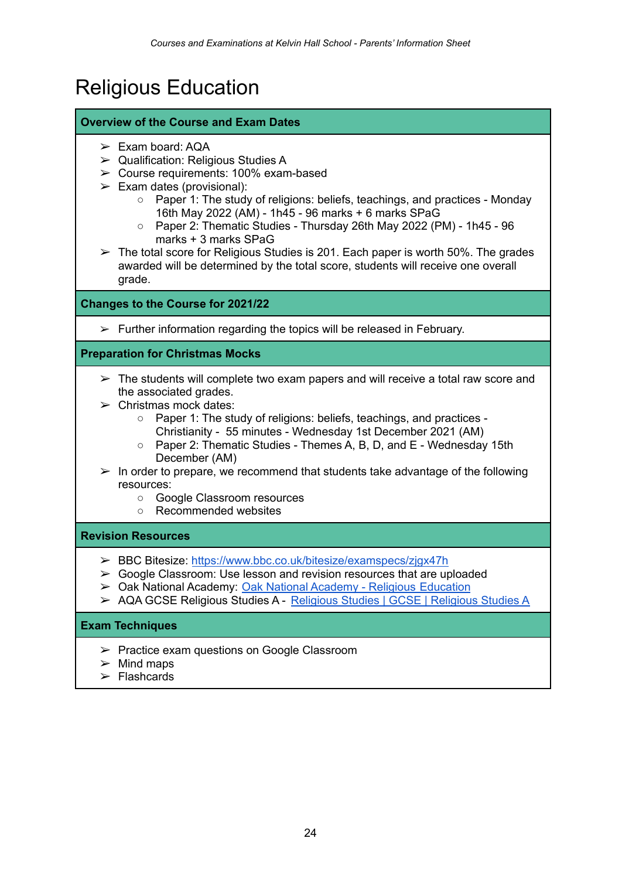# <span id="page-23-0"></span>Religious Education

# **Overview of the Course and Exam Dates**

- $\triangleright$  Fxam board: AQA
- ➢ Qualification: Religious Studies A
- ➢ Course requirements: 100% exam-based
- $\triangleright$  Exam dates (provisional):
	- Paper 1: The study of religions: beliefs, teachings, and practices Monday 16th May 2022 (AM) - 1h45 - 96 marks + 6 marks SPaG
	- Paper 2: Thematic Studies Thursday 26th May 2022 (PM) 1h45 96 marks + 3 marks SPaG
- $\triangleright$  The total score for Religious Studies is 201. Each paper is worth 50%. The grades awarded will be determined by the total score, students will receive one overall grade.

### **Changes to the Course for 2021/22**

 $\geq$  Further information regarding the topics will be released in February.

### **Preparation for Christmas Mocks**

- $\triangleright$  The students will complete two exam papers and will receive a total raw score and the associated grades.
- $\triangleright$  Christmas mock dates:
	- Paper 1: The study of religions: beliefs, teachings, and practices Christianity - 55 minutes - Wednesday 1st December 2021 (AM)
	- Paper 2: Thematic Studies Themes A, B, D, and E Wednesday 15th December (AM)
- $\triangleright$  In order to prepare, we recommend that students take advantage of the following resources:
	- Google Classroom resources
	- Recommended websites

### **Revision Resources**

- ➢ BBC Bitesize: <https://www.bbc.co.uk/bitesize/examspecs/zjgx47h>
- $\triangleright$  Google Classroom: Use lesson and revision resources that are uploaded
- ➢ Oak National Academy: Oak National Academy Religious [Education](https://classroom.thenational.academy/subjects-by-key-stage/key-stage-4/subjects/religious-education)
- ➢ AQA GCSE Religious Studies A Religious Studies | GCSE | [Religious](https://www.aqa.org.uk/subjects/religious-studies/gcse/religious-studies-a-8062) Studies A

- ➢ Practice exam questions on Google Classroom
- $\triangleright$  Mind maps
- $\triangleright$  Flashcards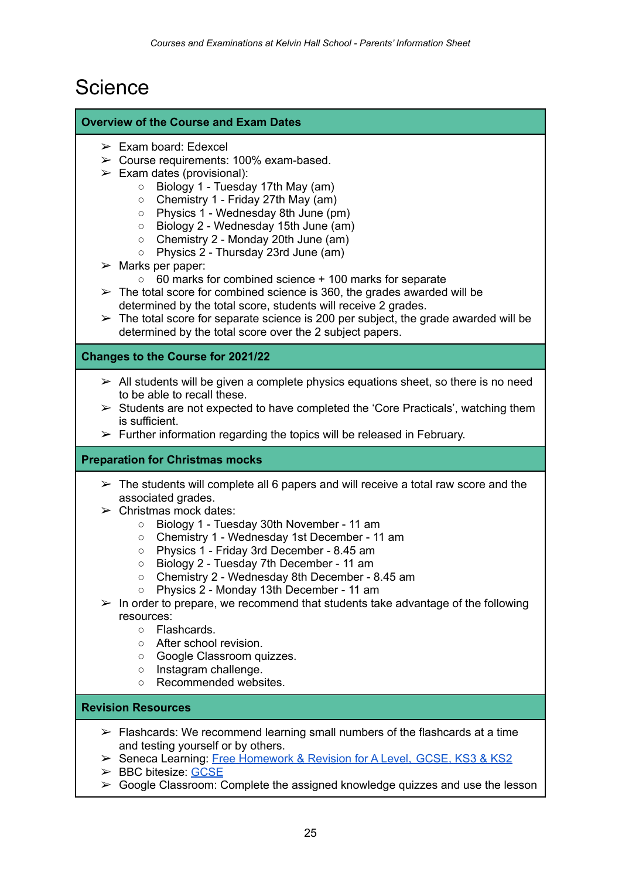# <span id="page-24-0"></span>Science

## **Overview of the Course and Exam Dates**

- ➢ Exam board: Edexcel
- $\geq$  Course requirements: 100% exam-based.
- $\triangleright$  Exam dates (provisional):
	- Biology 1 Tuesday 17th May (am)
	- Chemistry 1 Friday 27th May (am)
	- Physics 1 Wednesday 8th June (pm)
	- Biology 2 Wednesday 15th June (am)
	- Chemistry 2 Monday 20th June (am)
	- Physics 2 Thursday 23rd June (am)
- $\triangleright$  Marks per paper:
	- 60 marks for combined science + 100 marks for separate
- $\geq$  The total score for combined science is 360, the grades awarded will be determined by the total score, students will receive 2 grades.
- $\geq$  The total score for separate science is 200 per subject, the grade awarded will be determined by the total score over the 2 subject papers.

### **Changes to the Course for 2021/22**

- $\triangleright$  All students will be given a complete physics equations sheet, so there is no need to be able to recall these.
- $\triangleright$  Students are not expected to have completed the 'Core Practicals', watching them is sufficient.
- $\triangleright$  Further information regarding the topics will be released in February.

### **Preparation for Christmas mocks**

- $\triangleright$  The students will complete all 6 papers and will receive a total raw score and the associated grades.
- $\triangleright$  Christmas mock dates:
	- Biology 1 Tuesday 30th November 11 am
	- Chemistry 1 Wednesday 1st December 11 am
	- Physics 1 Friday 3rd December 8.45 am
	- Biology 2 Tuesday 7th December 11 am
	- Chemistry 2 Wednesday 8th December 8.45 am
	- Physics 2 Monday 13th December 11 am
- $\triangleright$  In order to prepare, we recommend that students take advantage of the following resources:
	- Flashcards.
	- After school revision.
	- Google Classroom quizzes.
	- Instagram challenge.
	- Recommended websites.

# **Revision Resources**

- $\triangleright$  Flashcards: We recommend learning small numbers of the flashcards at a time and testing yourself or by others.
- ➢ Seneca Learning: Free [Homework](https://senecalearning.com/en-GB/) & Revision for A Level, GCSE, KS3 & KS2
- $\triangleright$  BBC bitesize: [GCSE](https://www.bbc.co.uk/bitesize/levels/z98jmp3)
- $\geq$  Google Classroom: Complete the assigned knowledge guizzes and use the lesson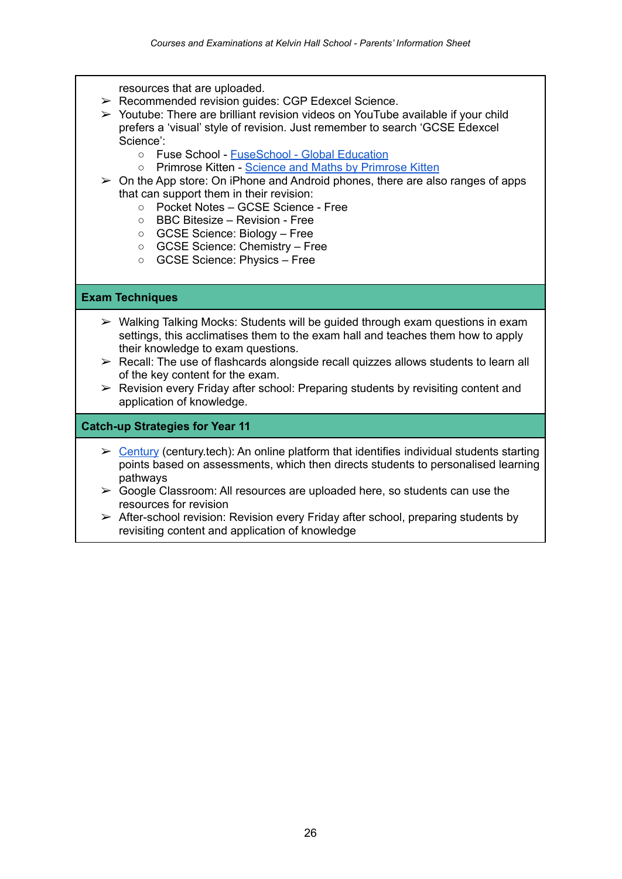#### resources that are uploaded.

- ➢ Recommended revision guides: CGP Edexcel Science.
- $\geq$  Youtube: There are brilliant revision videos on YouTube available if your child prefers a 'visual' style of revision. Just remember to search 'GCSE Edexcel Science':
	- Fuse School [FuseSchool](https://www.youtube.com/channel/UCS3wWlfGUijnRIf745lRl2A) Global Education
	- Primrose Kitten Science and Maths by [Primrose](https://www.youtube.com/channel/UCBgvmal8AR4QIK2e0EfJwaA) Kitten
- $\geq 0$ n the App store: On iPhone and Android phones, there are also ranges of apps that can support them in their revision:
	- Pocket Notes GCSE Science Free
	- BBC Bitesize Revision Free
	- GCSE Science: Biology Free
	- GCSE Science: Chemistry Free
	- GCSE Science: Physics Free

### **Exam Techniques**

- $\triangleright$  Walking Talking Mocks: Students will be guided through exam questions in exam settings, this acclimatises them to the exam hall and teaches them how to apply their knowledge to exam questions.
- $\triangleright$  Recall: The use of flashcards alongside recall quizzes allows students to learn all of the key content for the exam.
- $\triangleright$  Revision every Friday after school: Preparing students by revisiting content and application of knowledge.

- $\triangleright$  [Century](https://www.century.tech/) (century.tech): An online platform that identifies individual students starting points based on assessments, which then directs students to personalised learning pathways
- $\geq$  Google Classroom: All resources are uploaded here, so students can use the resources for revision
- $\triangleright$  After-school revision: Revision every Friday after school, preparing students by revisiting content and application of knowledge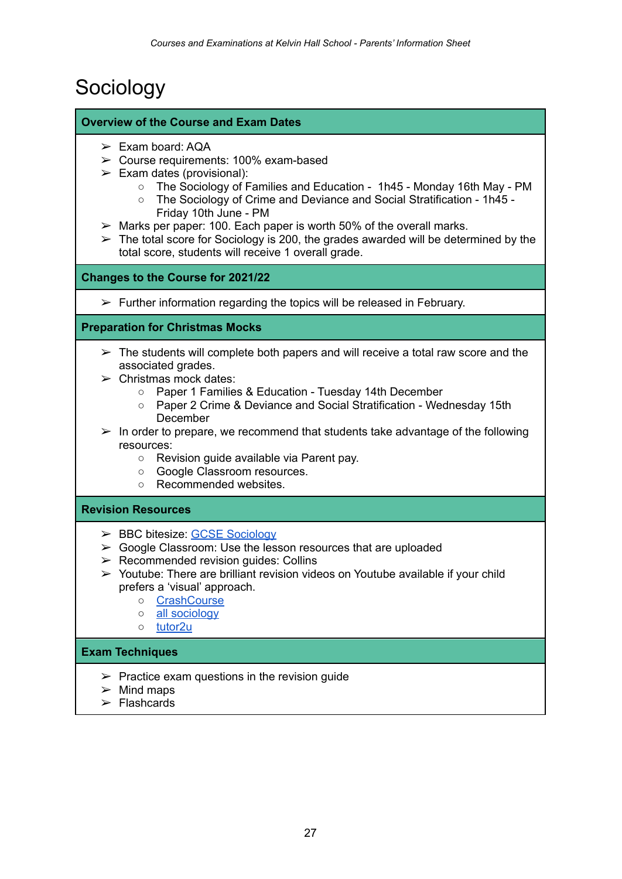# <span id="page-26-0"></span>Sociology

# **Overview of the Course and Exam Dates**

- $\triangleright$  Fxam board: AQA
- ➢ Course requirements: 100% exam-based
- $\triangleright$  Exam dates (provisional):
	- The Sociology of Families and Education 1h45 Monday 16th May PM
	- The Sociology of Crime and Deviance and Social Stratification 1h45 Friday 10th June - PM
- $\triangleright$  Marks per paper: 100. Each paper is worth 50% of the overall marks.
- $\triangleright$  The total score for Sociology is 200, the grades awarded will be determined by the total score, students will receive 1 overall grade.

# **Changes to the Course for 2021/22**

 $\triangleright$  Further information regarding the topics will be released in February.

### **Preparation for Christmas Mocks**

- $\geq$  The students will complete both papers and will receive a total raw score and the associated grades.
- $\triangleright$  Christmas mock dates:
	- Paper 1 Families & Education Tuesday 14th December
	- Paper 2 Crime & Deviance and Social Stratification Wednesday 15th December
- $\triangleright$  In order to prepare, we recommend that students take advantage of the following resources:
	- Revision guide available via Parent pay.
	- Google Classroom resources.
	- Recommended websites.

### **Revision Resources**

- ➢ BBC bitesize: GCSE [Sociology](https://www.bbc.co.uk/bitesize/subjects/zbbw2hv)
- $\triangleright$  Google Classroom: Use the lesson resources that are uploaded
- $\triangleright$  Recommended revision guides: Collins
- $\triangleright$  Youtube: There are brilliant revision videos on Youtube available if your child prefers a 'visual' approach.
	- [CrashCourse](https://www.youtube.com/user/crashcourse)
	- all [sociology](https://www.youtube.com/channel/UC-pjfHrf_mlUkKPdjWyoW9w)
	- [tutor2u](https://www.youtube.com/channel/UCe83jLdZ3PuqVwAHe6B3U2A)

- $\triangleright$  Practice exam questions in the revision guide
- $\triangleright$  Mind maps
- $\triangleright$  Flashcards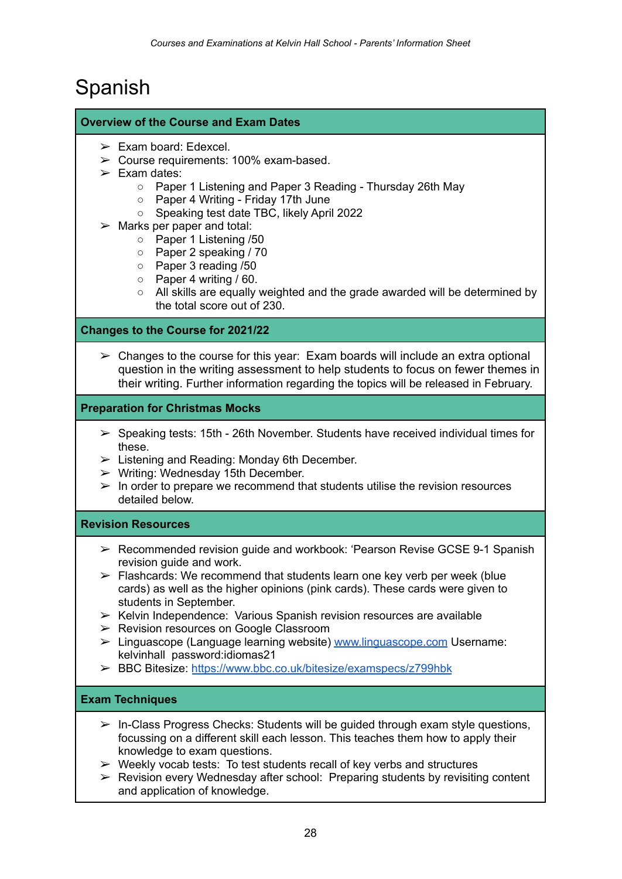# <span id="page-27-0"></span>Spanish

# **Overview of the Course and Exam Dates**

- ➢ Exam board: Edexcel.
- $\geq$  Course requirements: 100% exam-based.
- $\triangleright$  Exam dates:
	- Paper 1 Listening and Paper 3 Reading Thursday 26th May
	- Paper 4 Writing Friday 17th June
	- Speaking test date TBC, likely April 2022
- $\triangleright$  Marks per paper and total:
	- Paper 1 Listening /50
	- Paper 2 speaking / 70
	- Paper 3 reading /50
	- Paper 4 writing / 60.
	- All skills are equally weighted and the grade awarded will be determined by the total score out of 230.

### **Changes to the Course for 2021/22**

 $\geq$  Changes to the course for this year: Exam boards will include an extra optional question in the writing assessment to help students to focus on fewer themes in their writing. Further information regarding the topics will be released in February.

### **Preparation for Christmas Mocks**

- $\triangleright$  Speaking tests: 15th 26th November. Students have received individual times for these.
- $\triangleright$  Listening and Reading: Monday 6th December.
- $\triangleright$  Writing: Wednesday 15th December.
- $\geq$  In order to prepare we recommend that students utilise the revision resources detailed below.

### **Revision Resources**

- ➢ Recommended revision guide and workbook: 'Pearson Revise GCSE 9-1 Spanish revision guide and work.
- $\triangleright$  Flashcards: We recommend that students learn one key verb per week (blue cards) as well as the higher opinions (pink cards). These cards were given to students in September.
- ➢ Kelvin Independence: Various Spanish revision resources are available
- ➢ Revision resources on Google Classroom
- ➢ Linguascope (Language learning website) [www.linguascope.com](http://www.linguascope.com) Username: kelvinhall password:idiomas21
- ➢ BBC Bitesize: <https://www.bbc.co.uk/bitesize/examspecs/z799hbk>

- $\triangleright$  In-Class Progress Checks: Students will be guided through exam style questions, focussing on a different skill each lesson. This teaches them how to apply their knowledge to exam questions.
- $\triangleright$  Weekly vocab tests: To test students recall of key verbs and structures
- $\triangleright$  Revision every Wednesday after school: Preparing students by revisiting content and application of knowledge.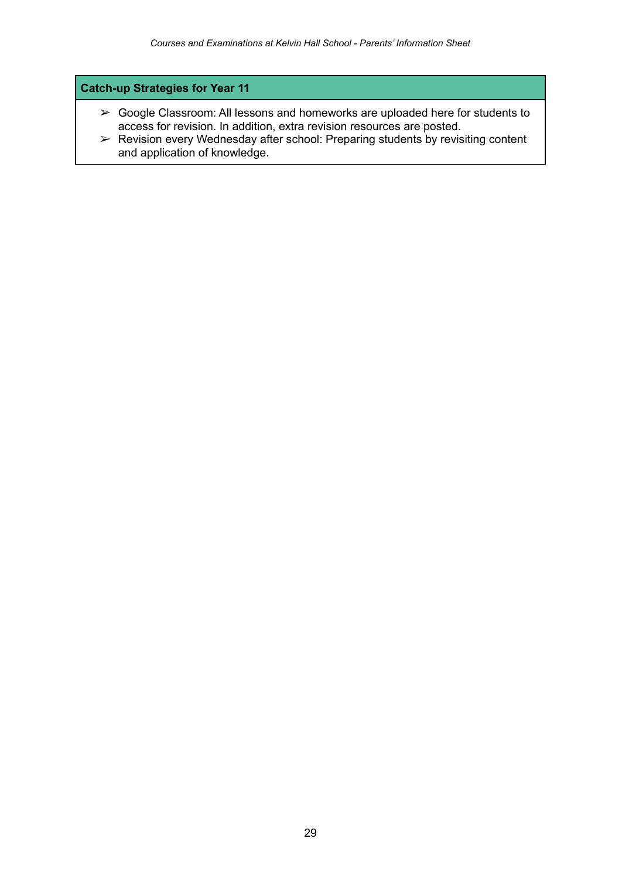- ➢ Google Classroom: All lessons and homeworks are uploaded here for students to access for revision. In addition, extra revision resources are posted.
- $\triangleright$  Revision every Wednesday after school: Preparing students by revisiting content and application of knowledge.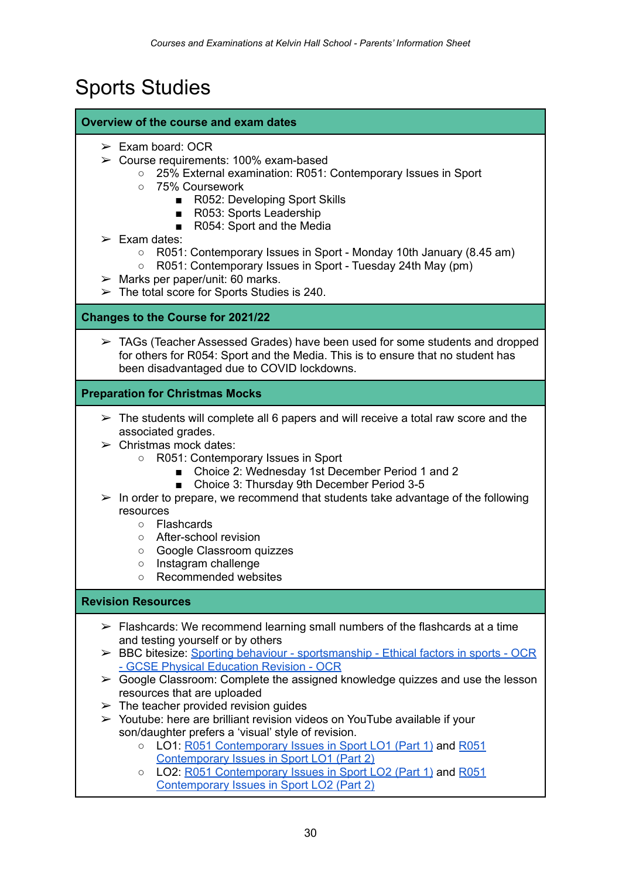# <span id="page-29-0"></span>Sports Studies

# **Overview of the course and exam dates**

- $\triangleright$  Fxam board: OCR
- ➢ Course requirements: 100% exam-based
	- 25% External examination: R051: Contemporary Issues in Sport
	- 75% Coursework
		- R052: Developing Sport Skills
		- R053: Sports Leadership
		- R054: Sport and the Media
- $\triangleright$  Exam dates:
	- R051: Contemporary Issues in Sport Monday 10th January (8.45 am)
	- R051: Contemporary Issues in Sport Tuesday 24th May (pm)
- $\triangleright$  Marks per paper/unit: 60 marks.
- $\geq$  The total score for Sports Studies is 240.

# **Changes to the Course for 2021/22**

 $\geq$  TAGs (Teacher Assessed Grades) have been used for some students and dropped for others for R054: Sport and the Media. This is to ensure that no student has been disadvantaged due to COVID lockdowns.

# **Preparation for Christmas Mocks**

- $\triangleright$  The students will complete all 6 papers and will receive a total raw score and the associated grades.
- $\geq$  Christmas mock dates:
	- R051: Contemporary Issues in Sport
		- Choice 2: Wednesday 1st December Period 1 and 2
		- Choice 3: Thursday 9th December Period 3-5
- $\geq$  In order to prepare, we recommend that students take advantage of the following resources
	- Flashcards
	- After-school revision
	- Google Classroom quizzes
	- Instagram challenge
	- Recommended websites

# **Revision Resources**

- $\triangleright$  Flashcards: We recommend learning small numbers of the flashcards at a time and testing yourself or by others
- ➢ BBC bitesize: Sporting behaviour [sportsmanship](https://www.bbc.co.uk/bitesize/guides/zq9r82p/revision/1) Ethical factors in sports OCR - GCSE Physical [Education](https://www.bbc.co.uk/bitesize/guides/zq9r82p/revision/1) Revision - OCR
- $\geq$  Google Classroom: Complete the assigned knowledge quizzes and use the lesson resources that are uploaded
- $\geq$  The teacher provided revision quides
- ➢ Youtube: here are brilliant revision videos on YouTube available if your son/daughter prefers a 'visual' style of revision.
	- LO1: R051 [Contemporary](https://www.youtube.com/watch?v=Az9f7BrA61w) Issues in Sport LO1 (Part 1) and [R051](https://www.youtube.com/watch?v=s_ir1JpXqEw) [Contemporary](https://www.youtube.com/watch?v=s_ir1JpXqEw) Issues in Sport LO1 (Part 2)
	- LO2: R051 [Contemporary](https://www.youtube.com/watch?v=SnXqs2oBwtU) Issues in Sport LO2 (Part 1) and [R051](https://www.youtube.com/watch?v=zY8354OE_Rw) [Contemporary](https://www.youtube.com/watch?v=zY8354OE_Rw) Issues in Sport LO2 (Part 2)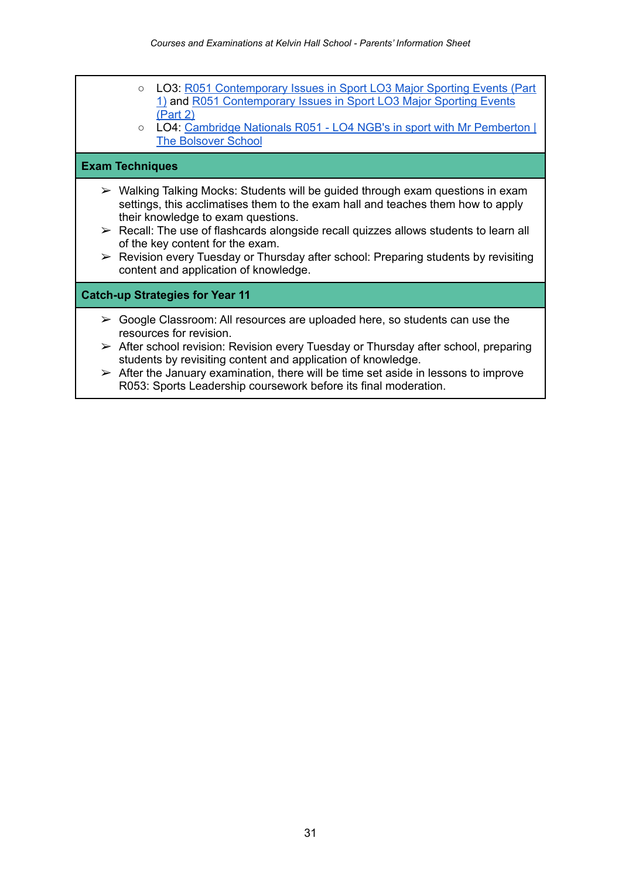- LO3: R051 [Contemporary](https://www.youtube.com/watch?v=Er1_L1bQNSk) Issues in Sport LO3 Major Sporting Events (Part [1\)](https://www.youtube.com/watch?v=Er1_L1bQNSk) and R051 [Contemporary](https://www.youtube.com/watch?v=Ix1TAuX91XQ) Issues in Sport LO3 Major Sporting Events [\(Part](https://www.youtube.com/watch?v=Ix1TAuX91XQ) 2)
- LO4: Cambridge Nationals R051 LO4 NGB's in sport with Mr [Pemberton](https://www.youtube.com/watch?v=XCpw5-NnIf0) I The [Bolsover](https://www.youtube.com/watch?v=XCpw5-NnIf0) School

### **Exam Techniques**

- $\triangleright$  Walking Talking Mocks: Students will be guided through exam questions in exam settings, this acclimatises them to the exam hall and teaches them how to apply their knowledge to exam questions.
- $\triangleright$  Recall: The use of flashcards alongside recall quizzes allows students to learn all of the key content for the exam.
- $\triangleright$  Revision every Tuesday or Thursday after school: Preparing students by revisiting content and application of knowledge.

- $\triangleright$  Google Classroom: All resources are uploaded here, so students can use the resources for revision.
- $\triangleright$  After school revision: Revision every Tuesday or Thursday after school, preparing students by revisiting content and application of knowledge.
- $\triangleright$  After the January examination, there will be time set aside in lessons to improve R053: Sports Leadership coursework before its final moderation.